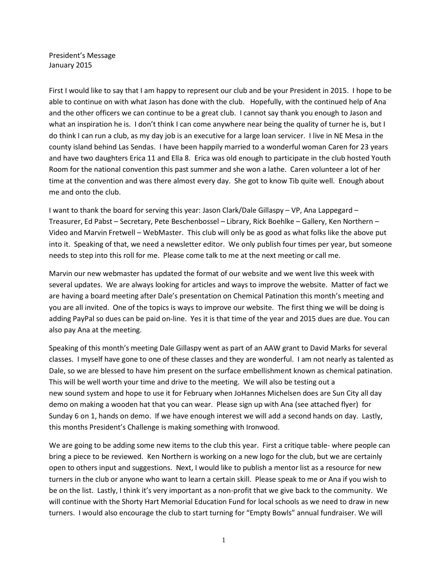President's Message January 2015

First I would like to say that I am happy to represent our club and be your President in 2015. I hope to be able to continue on with what Jason has done with the club. Hopefully, with the continued help of Ana and the other officers we can continue to be a great club. I cannot say thank you enough to Jason and what an inspiration he is. I don't think I can come anywhere near being the quality of turner he is, but I do think I can run a club, as my day job is an executive for a large loan servicer. I live in NE Mesa in the county island behind Las Sendas. I have been happily married to a wonderful woman Caren for 23 years and have two daughters Erica 11 and Ella 8. Erica was old enough to participate in the club hosted Youth Room for the national convention this past summer and she won a lathe. Caren volunteer a lot of her time at the convention and was there almost every day. She got to know Tib quite well. Enough about me and onto the club.

I want to thank the board for serving this year: Jason Clark/Dale Gillaspy – VP, Ana Lappegard – Treasurer, Ed Pabst – Secretary, Pete Beschenbossel – Library, Rick Boehlke – Gallery, Ken Northern – Video and Marvin Fretwell – WebMaster. This club will only be as good as what folks like the above put into it. Speaking of that, we need a newsletter editor. We only publish four times per year, but someone needs to step into this roll for me. Please come talk to me at the next meeting or call me.

Marvin our new webmaster has updated the format of our website and we went live this week with several updates. We are always looking for articles and ways to improve the website. Matter of fact we are having a board meeting after Dale's presentation on Chemical Patination this month's meeting and you are all invited. One of the topics is ways to improve our website. The first thing we will be doing is adding PayPal so dues can be paid on-line. Yes it is that time of the year and 2015 dues are due. You can also pay Ana at the meeting.

Speaking of this month's meeting Dale Gillaspy went as part of an AAW grant to David Marks for several classes. I myself have gone to one of these classes and they are wonderful. I am not nearly as talented as Dale, so we are blessed to have him present on the surface embellishment known as chemical patination. This will be well worth your time and drive to the meeting. We will also be testing out a new sound system and hope to use it for February when JoHannes Michelsen does are Sun City all day demo on making a wooden hat that you can wear. Please sign up with Ana (see attached flyer) for Sunday 6 on 1, hands on demo. If we have enough interest we will add a second hands on day. Lastly, this months President's Challenge is making something with Ironwood.

We are going to be adding some new items to the club this year. First a critique table- where people can bring a piece to be reviewed. Ken Northern is working on a new logo for the club, but we are certainly open to others input and suggestions. Next, I would like to publish a mentor list as a resource for new turners in the club or anyone who want to learn a certain skill. Please speak to me or Ana if you wish to be on the list. Lastly, I think it's very important as a non-profit that we give back to the community. We will continue with the Shorty Hart Memorial Education Fund for local schools as we need to draw in new turners. I would also encourage the club to start turning for "Empty Bowls" annual fundraiser. We will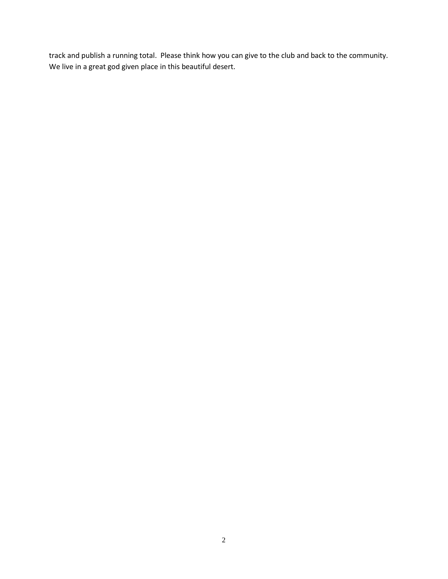track and publish a running total. Please think how you can give to the club and back to the community. We live in a great god given place in this beautiful desert.